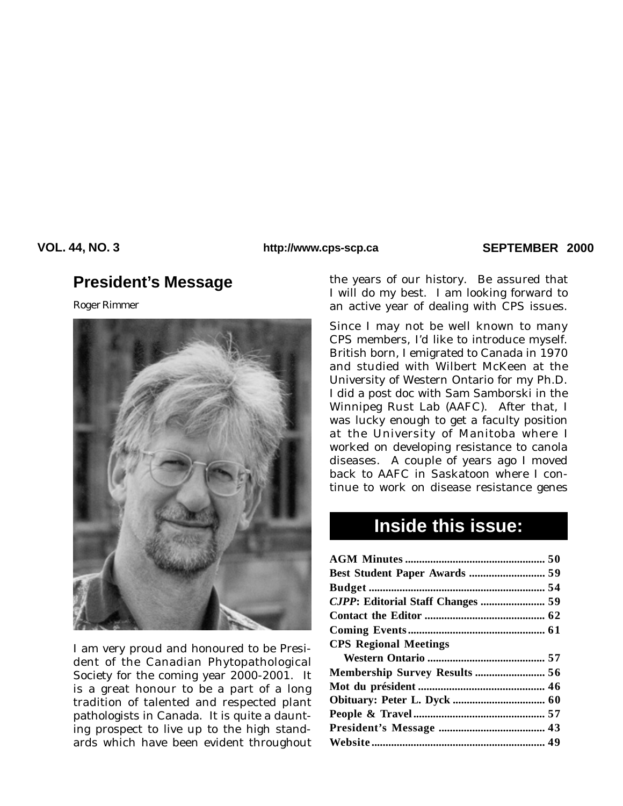## **VOL. 44, NO. 3 SEPTEMBER 2000 http://www.cps-scp.ca**

# **President's Message**

*Roger Rimmer*



I am very proud and honoured to be President of the Canadian Phytopathological Society for the coming year 2000-2001. It is a great honour to be a part of a long tradition of talented and respected plant pathologists in Canada. It is quite a daunting prospect to live up to the high standards which have been evident throughout

the years of our history. Be assured that I will do my best. I am looking forward to an active year of dealing with CPS issues.

Since I may not be well known to many CPS members, I'd like to introduce myself. British born, I emigrated to Canada in 1970 and studied with Wilbert McKeen at the University of Western Ontario for my Ph.D. I did a post doc with Sam Samborski in the Winnipeg Rust Lab (AAFC). After that, I was lucky enough to get a faculty position at the University of Manitoba where I worked on developing resistance to canola diseases. A couple of years ago I moved back to AAFC in Saskatoon where I continue to work on disease resistance genes

# **Inside this issue:**

| <b>CPS Regional Meetings</b>  |  |
|-------------------------------|--|
|                               |  |
| Membership Survey Results  56 |  |
|                               |  |
|                               |  |
|                               |  |
|                               |  |
|                               |  |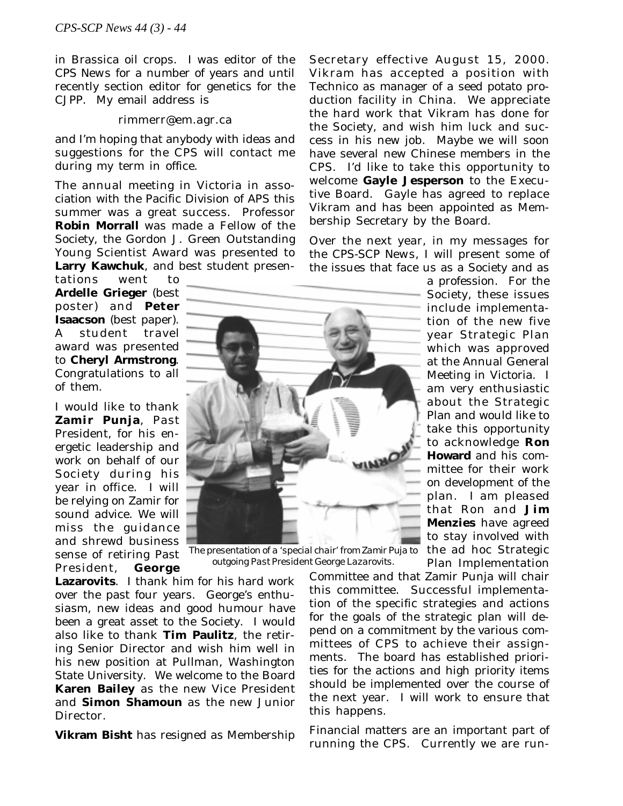in Brassica oil crops. I was editor of the *CPS News* for a number of years and until recently section editor for genetics for the *CJPP*. My email address is

#### rimmerr@em.agr.ca

and I'm hoping that anybody with ideas and suggestions for the CPS will contact me during my term in office.

The annual meeting in Victoria in association with the Pacific Division of APS this summer was a great success. Professor **Robin Morrall** was made a Fellow of the Society, the Gordon J. Green Outstanding Young Scientist Award was presented to **Larry Kawchuk**, and best student presen-

tations went to **Ardelle Grieger** (best poster) and **Peter Isaacson** (best paper). A student travel award was presented to **Cheryl Armstrong**. Congratulations to all of them.

I would like to thank **Zamir Punja**, Past President, for his energetic leadership and work on behalf of our Society during his year in office. I will be relying on Zamir for sound advice. We will miss the guidance and shrewd business sense of retiring Past President, **George**



*The presentation of a 'special chair' from Zamir Puja to outgoing Past President George Lazarovits.*

**Lazarovits**. I thank him for his hard work over the past four years. George's enthusiasm, new ideas and good humour have been a great asset to the Society. I would also like to thank **Tim Paulitz**, the retiring Senior Director and wish him well in his new position at Pullman, Washington State University. We welcome to the Board **Karen Bailey** as the new Vice President and **Simon Shamoun** as the new Junior Director.

**Vikram Bisht** has resigned as Membership

Secretary effective August 15, 2000. Vikram has accepted a position with Technico as manager of a seed potato production facility in China. We appreciate the hard work that Vikram has done for the Society, and wish him luck and success in his new job. Maybe we will soon have several new Chinese members in the CPS. I'd like to take this opportunity to welcome **Gayle Jesperson** to the Executive Board. Gayle has agreed to replace Vikram and has been appointed as Membership Secretary by the Board.

Over the next year, in my messages for the *CPS-SCP News*, I will present some of the issues that face us as a Society and as

> a profession. For the Society, these issues include implementation of the new five year Strategic Plan which was approved at the Annual General Meeting in Victoria. I am very enthusiastic about the Strategic Plan and would like to take this opportunity to acknowledge **Ron Howard** and his committee for their work on development of the plan. I am pleased that Ron and **Jim Menzies** have agreed to stay involved with the ad hoc Strategic Plan Implementation

Committee and that Zamir Punja will chair this committee. Successful implementation of the specific strategies and actions for the goals of the strategic plan will depend on a commitment by the various committees of CPS to achieve their assignments. The board has established priorities for the actions and high priority items should be implemented over the course of the next year. I will work to ensure that this happens.

Financial matters are an important part of running the CPS. Currently we are run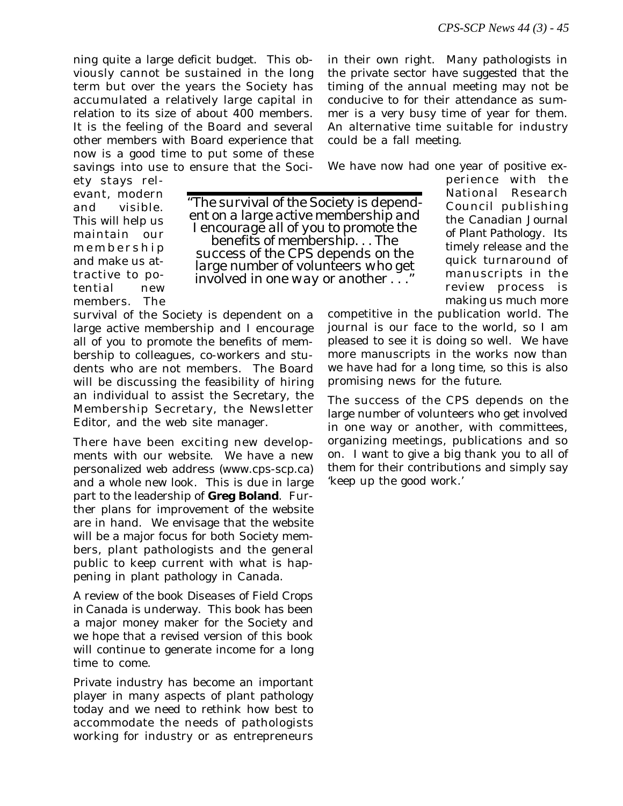ning quite a large deficit budget. This obviously cannot be sustained in the long term but over the years the Society has accumulated a relatively large capital in relation to its size of about 400 members. It is the feeling of the Board and several other members with Board experience that now is a good time to put some of these savings into use to ensure that the Sociin their own right. Many pathologists in the private sector have suggested that the timing of the annual meeting may not be conducive to for their attendance as summer is a very busy time of year for them. An alternative time suitable for industry could be a fall meeting.

We have now had one year of positive ex-

ety stays relevant, modern and visible. This will help us maintain our membership and make us attractive to potential new members. The

*"The* survival *of the Society is depend- ent on a large active membership and I encourage all of you to promote the benefits of membership. . . The* success *of the CPS depends on the large number of volunteers who get involved in one way or another . . ."*

survival of the Society is dependent on a large active membership and I encourage all of you to promote the benefits of membership to colleagues, co-workers and students who are not members. The Board will be discussing the feasibility of hiring an individual to assist the Secretary, the Membership Secretary, the Newsletter Editor, and the web site manager.

There have been exciting new developments with our website. We have a new personalized web address (www.cps-scp.ca) and a whole new look. This is due in large part to the leadership of **Greg Boland**. Further plans for improvement of the website are in hand. We envisage that the website will be a major focus for both Society members, plant pathologists and the general public to keep current with what is happening in plant pathology in Canada.

A review of the book *Diseases of Field Crops in Canada* is underway. This book has been a major money maker for the Society and we hope that a revised version of this book will continue to generate income for a long time to come.

Private industry has become an important player in many aspects of plant pathology today and we need to rethink how best to accommodate the needs of pathologists working for industry or as entrepreneurs

perience with the National Research Council publishing the *Canadian Journal of Plant Pathology*. Its timely release and the quick turnaround of manuscripts in the review process is making us much more

competitive in the publication world. The journal is our face to the world, so I am pleased to see it is doing so well. We have more manuscripts in the works now than we have had for a long time, so this is also promising news for the future.

The success of the CPS depends on the large number of volunteers who get involved in one way or another, with committees, organizing meetings, publications and so on. I want to give a big thank you to all of them for their contributions and simply say 'keep up the good work.'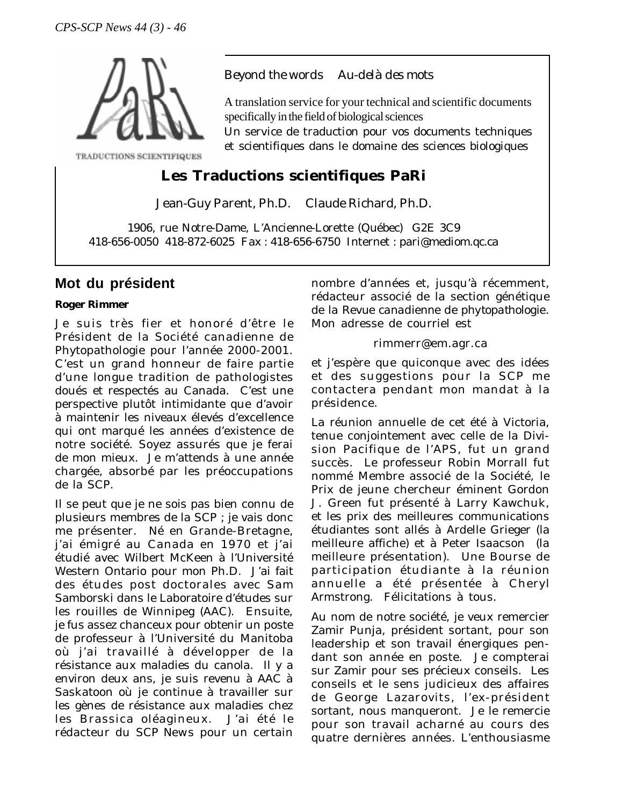

TRADUCTIONS SCIENTIFIQUES

## *Beyond the words Au-delà des mots*

A translation service for your technical and scientific documents specifically in the field of biological sciences

Un service de traduction pour vos documents techniques et scientifiques dans le domaine des sciences biologiques

# **Les Traductions scientifiques PaRi**

Jean-Guy Parent, Ph.D. Claude Richard, Ph.D.

1906, rue Notre-Dame, L'Ancienne-Lorette (Québec) G2E 3C9 418-656-0050 418-872-6025 Fax : 418-656-6750 Internet : pari@mediom.qc.ca

# **Mot du président**

### *Roger Rimmer*

Je suis très fier et honoré d'être le Président de la Société canadienne de Phytopathologie pour l'année 2000-2001. C'est un grand honneur de faire partie d'une longue tradition de pathologistes doués et respectés au Canada. C'est une perspective plutôt intimidante que d'avoir à maintenir les niveaux élevés d'excellence qui ont marqué les années d'existence de notre société. Soyez assurés que je ferai de mon mieux. Je m'attends à une année chargée, absorbé par les préoccupations de la SCP.

Il se peut que je ne sois pas bien connu de plusieurs membres de la SCP ; je vais donc me présenter. Né en Grande-Bretagne, j'ai émigré au Canada en 1970 et j'ai étudié avec Wilbert McKeen à l'Université Western Ontario pour mon Ph.D. J'ai fait des études post doctorales avec Sam Samborski dans le Laboratoire d'études sur les rouilles de Winnipeg (AAC). Ensuite, je fus assez chanceux pour obtenir un poste de professeur à l'Université du Manitoba où j'ai travaillé à développer de la résistance aux maladies du canola. Il y a environ deux ans, je suis revenu à AAC à Saskatoon où je continue à travailler sur les gènes de résistance aux maladies chez les Brassica oléagineux. J'ai été le rédacteur du *SCP News* pour un certain nombre d'années et, jusqu'à récemment, rédacteur associé de la section génétique de la *Revue canadienne de phytopathologie*. Mon adresse de courriel est

### rimmerr@em.agr.ca

et j'espère que quiconque avec des idées et des suggestions pour la SCP me contactera pendant mon mandat à la présidence.

La réunion annuelle de cet été à Victoria, tenue conjointement avec celle de la Division Pacifique de l'APS, fut un grand succès. Le professeur Robin Morrall fut nommé Membre associé de la Société, le Prix de jeune chercheur éminent Gordon J. Green fut présenté à Larry Kawchuk, et les prix des meilleures communications étudiantes sont allés à Ardelle Grieger (la meilleure affiche) et à Peter Isaacson (la meilleure présentation). Une Bourse de participation étudiante à la réunion annuelle a été présentée à Cheryl Armstrong. Félicitations à tous.

Au nom de notre société, je veux remercier Zamir Punja, président sortant, pour son leadership et son travail énergiques pendant son année en poste. Je compterai sur Zamir pour ses précieux conseils. Les conseils et le sens judicieux des affaires de George Lazarovits, l'ex-président sortant, nous manqueront. Je le remercie pour son travail acharné au cours des quatre dernières années. L'enthousiasme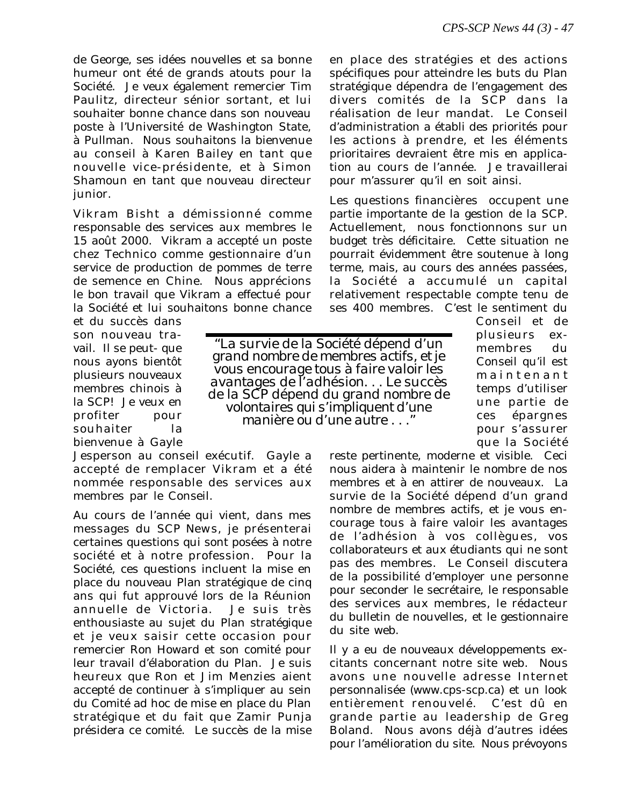de George, ses idées nouvelles et sa bonne humeur ont été de grands atouts pour la Société. Je veux également remercier Tim Paulitz, directeur sénior sortant, et lui souhaiter bonne chance dans son nouveau poste à l'Université de Washington State, à Pullman. Nous souhaitons la bienvenue au conseil à Karen Bailey en tant que nouvelle vice-présidente, et à Simon Shamoun en tant que nouveau directeur junior.

Vikram Bisht a démissionné comme responsable des services aux membres le 15 août 2000. Vikram a accepté un poste chez Technico comme gestionnaire d'un service de production de pommes de terre de semence en Chine. Nous apprécions le bon travail que Vikram a effectué pour la Société et lui souhaitons bonne chance

et du succès dans son nouveau travail. Il se peut- que nous ayons bientôt plusieurs nouveaux membres chinois à la SCP! Je veux en profiter pour souhaiter la bienvenue à Gayle

Jesperson au conseil exécutif. Gayle a accepté de remplacer Vikram et a été nommée responsable des services aux membres par le Conseil.

Au cours de l'année qui vient, dans mes messages du *SCP News*, je présenterai certaines questions qui sont posées à notre société et à notre profession. Pour la Société, ces questions incluent la mise en place du nouveau Plan stratégique de cinq ans qui fut approuvé lors de la Réunion annuelle de Victoria. Je suis très enthousiaste au sujet du Plan stratégique et je veux saisir cette occasion pour remercier Ron Howard et son comité pour leur travail d'élaboration du Plan. Je suis heureux que Ron et Jim Menzies aient accepté de continuer à s'impliquer au sein du Comité ad hoc de mise en place du Plan stratégique et du fait que Zamir Punja présidera ce comité. Le succès de la mise

en place des stratégies et des actions spécifiques pour atteindre les buts du Plan stratégique dépendra de l'engagement des divers comités de la SCP dans la réalisation de leur mandat. Le Conseil d'administration a établi des priorités pour les actions à prendre, et les éléments prioritaires devraient être mis en application au cours de l'année. Je travaillerai pour m'assurer qu'il en soit ainsi.

Les questions financières occupent une partie importante de la gestion de la SCP. Actuellement, nous fonctionnons sur un budget très déficitaire. Cette situation ne pourrait évidemment être soutenue à long terme, mais, au cours des années passées, la Société a accumulé un capital relativement respectable compte tenu de ses 400 membres. C'est le sentiment du

*"La* survie *de la Société dépend d'un grand nombre de membres actifs, et je vous encourage tous à faire valoir les avantages de l'adhésion. . . Le* succès *de la SCP dépend du grand nombre de volontaires qui s'impliquent d'une manière ou d'une autre . . ."* Conseil et de plusieurs exmembres du Conseil qu'il est maintenant temps d'utiliser une partie de ces épargnes pour s'assurer que la Société

reste pertinente, moderne et visible. Ceci nous aidera à maintenir le nombre de nos membres et à en attirer de nouveaux. La survie de la Société dépend d'un grand nombre de membres actifs, et je vous encourage tous à faire valoir les avantages de l'adhésion à vos collègues, vos collaborateurs et aux étudiants qui ne sont pas des membres. Le Conseil discutera de la possibilité d'employer une personne pour seconder le secrétaire, le responsable des services aux membres, le rédacteur du bulletin de nouvelles, et le gestionnaire du site web.

Il y a eu de nouveaux développements excitants concernant notre site web. Nous avons une nouvelle adresse Internet personnalisée (www.cps-scp.ca) et un look entièrement renouvelé. C'est dû en grande partie au leadership de Greg Boland. Nous avons déjà d'autres idées pour l'amélioration du site. Nous prévoyons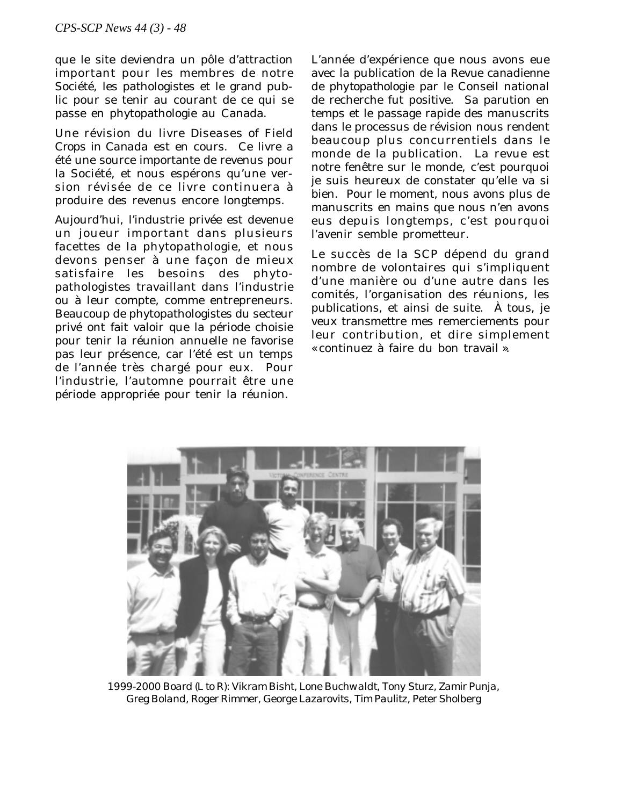que le site deviendra un pôle d'attraction important pour les membres de notre Société, les pathologistes et le grand public pour se tenir au courant de ce qui se passe en phytopathologie au Canada.

Une révision du livre *Diseases of Field Crops in Canada* est en cours. Ce livre a été une source importante de revenus pour la Société, et nous espérons qu'une version révisée de ce livre continuera à produire des revenus encore longtemps.

Aujourd'hui, l'industrie privée est devenue un joueur important dans plusieurs facettes de la phytopathologie, et nous devons penser à une façon de mieux satisfaire les besoins des phytopathologistes travaillant dans l'industrie ou à leur compte, comme entrepreneurs. Beaucoup de phytopathologistes du secteur privé ont fait valoir que la période choisie pour tenir la réunion annuelle ne favorise pas leur présence, car l'été est un temps de l'année très chargé pour eux. Pour l'industrie, l'automne pourrait être une période appropriée pour tenir la réunion.

L'année d'expérience que nous avons eue avec la publication de la *Revue canadienne de phytopathologie* par le Conseil national de recherche fut positive. Sa parution en temps et le passage rapide des manuscrits dans le processus de révision nous rendent beaucoup plus concurrentiels dans le monde de la publication. La revue est notre fenêtre sur le monde, c'est pourquoi je suis heureux de constater qu'elle va si bien. Pour le moment, nous avons plus de manuscrits en mains que nous n'en avons eus depuis longtemps, c'est pourquoi l'avenir semble prometteur.

Le succès de la SCP dépend du grand nombre de volontaires qui s'impliquent d'une manière ou d'une autre dans les comités, l'organisation des réunions, les publications, et ainsi de suite. À tous, je veux transmettre mes remerciements pour leur contribution, et dire simplement « continuez à faire du bon travail ».



*1999-2000 Board (L to R): Vikram Bisht, Lone Buchwaldt, Tony Sturz, Zamir Punja, Greg Boland, Roger Rimmer, George Lazarovits, Tim Paulitz, Peter Sholberg*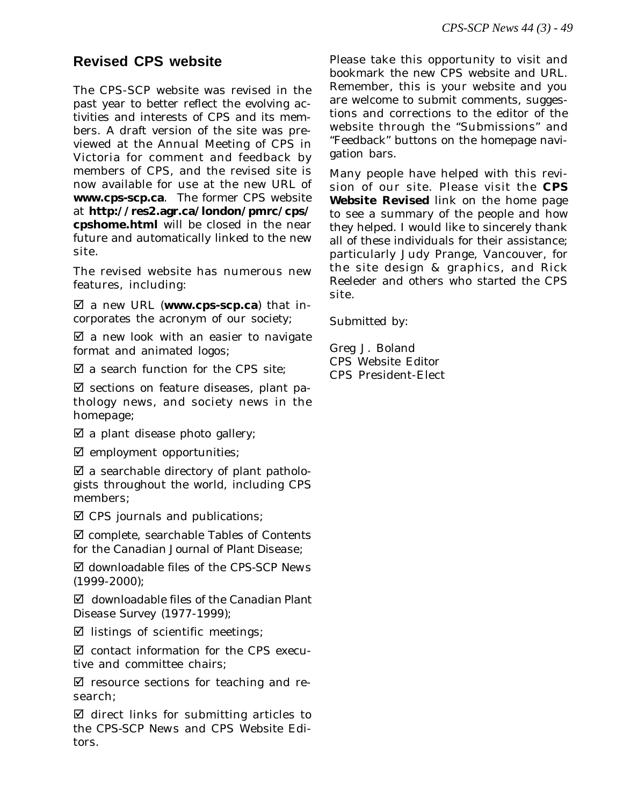# **Revised CPS website**

The CPS-SCP website was revised in the past year to better reflect the evolving activities and interests of CPS and its members. A draft version of the site was previewed at the Annual Meeting of CPS in Victoria for comment and feedback by members of CPS, and the revised site is now available for use at the new URL of **www.cps-scp.ca**. The former CPS website at **http://res2.agr.ca/london/pmrc/cps/ cpshome.html** will be closed in the near future and automatically linked to the new site.

The revised website has numerous new features, including:

þ a new URL (**www.cps-scp.ca**) that incorporates the acronym of our society;

 $\mathbb Z$  a new look with an easier to navigate format and animated logos;

 $\boxtimes$  a search function for the CPS site:

 $\boxtimes$  sections on feature diseases, plant pathology news, and society news in the homepage;

 $\boxtimes$  a plant disease photo gallery;

 $\boxtimes$  employment opportunities;

 $\boxtimes$  a searchable directory of plant pathologists throughout the world, including CPS members;

 $\boxtimes$  CPS journals and publications;

 $\nabla$  complete, searchable Tables of Contents for the *Canadian Journal of Plant Disease*;

þ downloadable files of the *CPS-SCP News* (1999-2000);

þ downloadable files of the *Canadian Plant Disease Survey* (1977-1999);

 $\boxtimes$  listings of scientific meetings;

 $\boxtimes$  contact information for the CPS executive and committee chairs;

 $\boxtimes$  resource sections for teaching and research;

 $\boxtimes$  direct links for submitting articles to the *CPS-SCP News* and CPS Website Editors.

Please take this opportunity to visit and bookmark the new CPS website and URL. Remember, this is your website and you are welcome to submit comments, suggestions and corrections to the editor of the website through the "Submissions" and "Feedback" buttons on the homepage navigation bars.

Many people have helped with this revision of our site. Please visit the **CPS Website Revised** link on the home page to see a summary of the people and how they helped. I would like to sincerely thank all of these individuals for their assistance; particularly Judy Prange, Vancouver, for the site design & graphics, and Rick Reeleder and others who started the CPS site.

Submitted by:

Greg J. Boland CPS Website Editor CPS President-Elect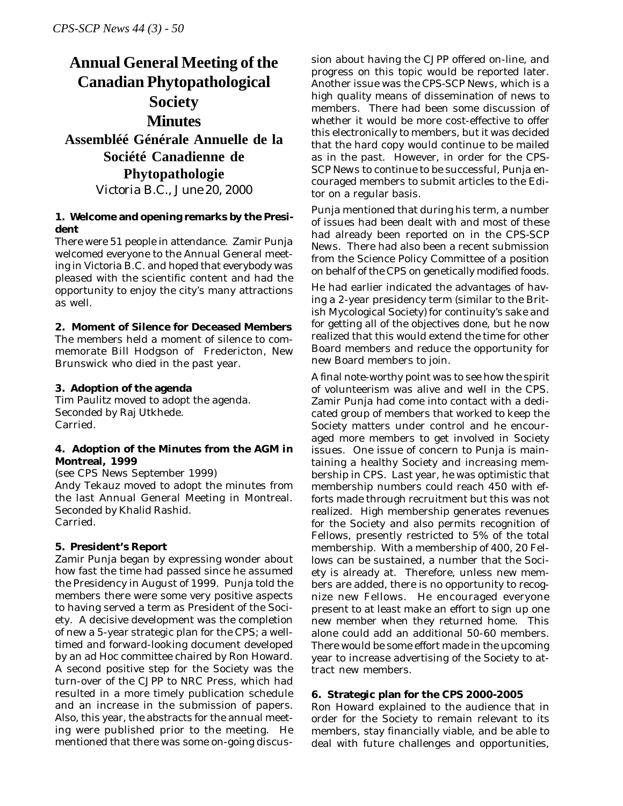# **Annual General Meeting of the Canadian Phytopathological Society Minutes Assembléé Générale Annuelle de la Société Canadienne de Phytopathologie** *Victoria B.C., June 20, 2000*

#### **1. Welcome and opening remarks by the President**

There were 51 people in attendance. Zamir Punja welcomed everyone to the Annual General meeting in Victoria B.C. and hoped that everybody was pleased with the scientific content and had the opportunity to enjoy the city's many attractions as well.

#### **2. Moment of Silence for Deceased Members**

The members held a moment of silence to commemorate Bill Hodgson of Fredericton, New Brunswick who died in the past year.

#### **3. Adoption of the agenda**

Tim Paulitz moved to adopt the agenda. Seconded by Raj Utkhede. Carried.

#### **4. Adoption of the Minutes from the AGM in Montreal, 1999**

(see CPS News September 1999) Andy Tekauz moved to adopt the minutes from the last Annual General Meeting in Montreal. Seconded by Khalid Rashid. Carried.

### **5. President's Report**

Zamir Punja began by expressing wonder about how fast the time had passed since he assumed the Presidency in August of 1999. Punja told the members there were some very positive aspects to having served a term as President of the Society. A decisive development was the completion of new a 5-year strategic plan for the CPS; a welltimed and forward-looking document developed by an ad Hoc committee chaired by Ron Howard. A second positive step for the Society was the turn-over of the *CJPP* to NRC Press, which had resulted in a more timely publication schedule and an increase in the submission of papers. Also, this year, the abstracts for the annual meeting were published prior to the meeting. He mentioned that there was some on-going discussion about having the *CJPP* offered on-line, and progress on this topic would be reported later. Another issue was the *CPS-SCP News*, which is a high quality means of dissemination of news to members. There had been some discussion of whether it would be more cost-effective to offer this electronically to members, but it was decided that the hard copy would continue to be mailed as in the past. However, in order for the *CPS-SCP News* to continue to be successful, Punja encouraged members to submit articles to the Editor on a regular basis.

Punja mentioned that during his term, a number of issues had been dealt with and most of these had already been reported on in the *CPS-SCP News*. There had also been a recent submission from the Science Policy Committee of a position on behalf of the CPS on genetically modified foods.

He had earlier indicated the advantages of having a 2-year presidency term (similar to the British Mycological Society) for continuity's sake and for getting all of the objectives done, but he now realized that this would extend the time for other Board members and reduce the opportunity for new Board members to join.

A final note-worthy point was to see how the spirit of volunteerism was alive and well in the CPS. Zamir Punja had come into contact with a dedicated group of members that worked to keep the Society matters under control and he encouraged more members to get involved in Society issues. One issue of concern to Punja is maintaining a healthy Society and increasing membership in CPS. Last year, he was optimistic that membership numbers could reach 450 with efforts made through recruitment but this was not realized. High membership generates revenues for the Society and also permits recognition of Fellows, presently restricted to 5% of the total membership. With a membership of 400, 20 Fellows can be sustained, a number that the Society is already at. Therefore, unless new members are added, there is no opportunity to recognize new Fellows. He encouraged everyone present to at least make an effort to sign up one new member when they returned home. This alone could add an additional 50-60 members. There would be some effort made in the upcoming year to increase advertising of the Society to attract new members.

### **6. Strategic plan for the CPS 2000-2005**

Ron Howard explained to the audience that in order for the Society to remain relevant to its members, stay financially viable, and be able to deal with future challenges and opportunities,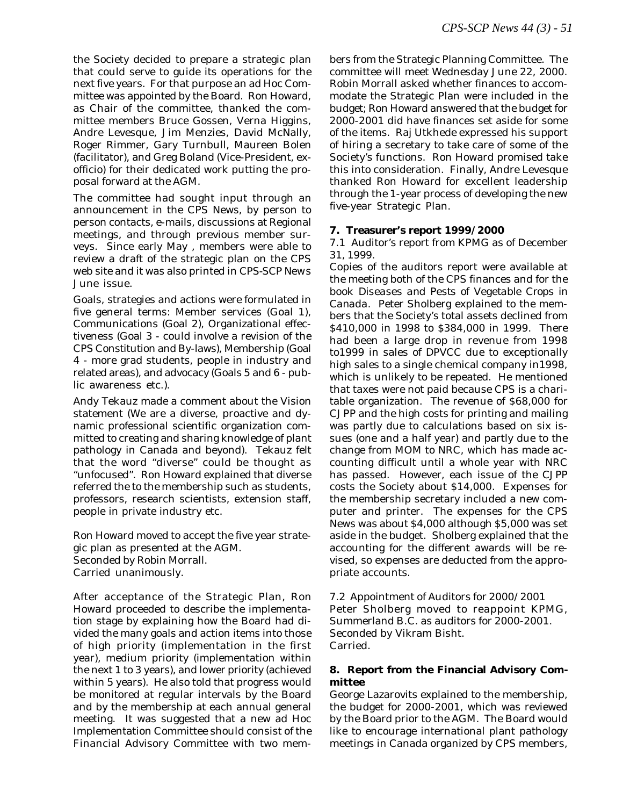the Society decided to prepare a strategic plan that could serve to guide its operations for the next five years. For that purpose an ad Hoc Committee was appointed by the Board. Ron Howard, as Chair of the committee, thanked the committee members Bruce Gossen, Verna Higgins, Andre Levesque, Jim Menzies, David McNally, Roger Rimmer, Gary Turnbull, Maureen Bolen (facilitator), and Greg Boland (Vice-President, exofficio) for their dedicated work putting the proposal forward at the AGM.

The committee had sought input through an announcement in the CPS News, by person to person contacts, e-mails, discussions at Regional meetings, and through previous member surveys. Since early May , members were able to review a draft of the strategic plan on the CPS web site and it was also printed in *CPS-SCP News* June issue.

Goals, strategies and actions were formulated in five general terms: Member services (Goal 1), Communications (Goal 2), Organizational effectiveness (Goal 3 - could involve a revision of the CPS Constitution and By-laws), Membership (Goal 4 - more grad students, people in industry and related areas), and advocacy (Goals 5 and 6 - public awareness etc.).

Andy Tekauz made a comment about the Vision statement (We are a diverse, proactive and dynamic professional scientific organization committed to creating and sharing knowledge of plant pathology in Canada and beyond). Tekauz felt that the word "diverse" could be thought as "unfocused". Ron Howard explained that diverse referred the to the membership such as students, professors, research scientists, extension staff, people in private industry etc.

Ron Howard moved to accept the five year strategic plan as presented at the AGM. Seconded by Robin Morrall. Carried unanimously.

After acceptance of the Strategic Plan, Ron Howard proceeded to describe the implementation stage by explaining how the Board had divided the many goals and action items into those of high priority (implementation in the first year), medium priority (implementation within the next 1 to 3 years), and lower priority (achieved within 5 years). He also told that progress would be monitored at regular intervals by the Board and by the membership at each annual general meeting. It was suggested that a new ad Hoc Implementation Committee should consist of the Financial Advisory Committee with two members from the Strategic Planning Committee. The committee will meet Wednesday June 22, 2000. Robin Morrall asked whether finances to accommodate the Strategic Plan were included in the budget; Ron Howard answered that the budget for 2000-2001 did have finances set aside for some of the items. Raj Utkhede expressed his support of hiring a secretary to take care of some of the Society's functions. Ron Howard promised take this into consideration. Finally, Andre Levesque thanked Ron Howard for excellent leadership through the 1-year process of developing the new five-year Strategic Plan.

#### **7. Treasurer's report 1999/2000**

7.1 Auditor's report from KPMG as of December 31, 1999.

Copies of the auditors report were available at the meeting both of the CPS finances and for the book *Diseases and Pests of Vegetable Crops in Canada*. Peter Sholberg explained to the members that the Society's total assets declined from \$410,000 in 1998 to \$384,000 in 1999. There had been a large drop in revenue from 1998 to1999 in sales of *DPVCC* due to exceptionally high sales to a single chemical company in1998, which is unlikely to be repeated. He mentioned that taxes were not paid because CPS is a charitable organization. The revenue of \$68,000 for CJPP and the high costs for printing and mailing was partly due to calculations based on six issues (one and a half year) and partly due to the change from MOM to NRC, which has made accounting difficult until a whole year with NRC has passed. However, each issue of the *CJPP* costs the Society about \$14,000. Expenses for the membership secretary included a new computer and printer. The expenses for the CPS News was about \$4,000 although \$5,000 was set aside in the budget. Sholberg explained that the accounting for the different awards will be revised, so expenses are deducted from the appropriate accounts.

7.2 Appointment of Auditors for 2000/2001 Peter Sholberg moved to reappoint KPMG, Summerland B.C. as auditors for 2000-2001. Seconded by Vikram Bisht. Carried.

#### **8. Report from the Financial Advisory Committee**

George Lazarovits explained to the membership, the budget for 2000-2001, which was reviewed by the Board prior to the AGM. The Board would like to encourage international plant pathology meetings in Canada organized by CPS members,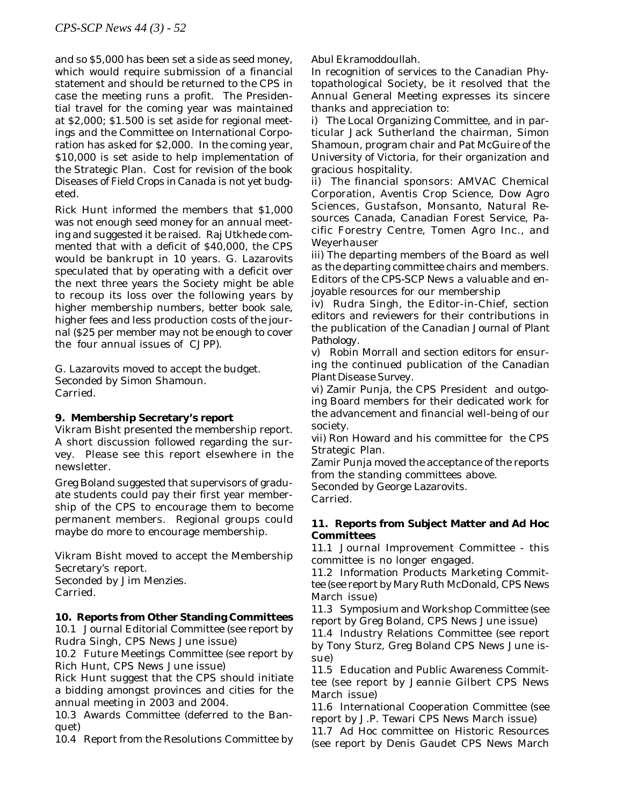and so \$5,000 has been set a side as seed money, which would require submission of a financial statement and should be returned to the CPS in case the meeting runs a profit. The Presidential travel for the coming year was maintained at \$2,000; \$1.500 is set aside for regional meetings and the Committee on International Corporation has asked for \$2,000. In the coming year, \$10,000 is set aside to help implementation of the Strategic Plan. Cost for revision of the book *Diseases of Field Crops in Canada* is not yet budgeted.

Rick Hunt informed the members that \$1,000 was not enough seed money for an annual meeting and suggested it be raised. Raj Utkhede commented that with a deficit of \$40,000, the CPS would be bankrupt in 10 years. G. Lazarovits speculated that by operating with a deficit over the next three years the Society might be able to recoup its loss over the following years by higher membership numbers, better book sale, higher fees and less production costs of the journal (\$25 per member may not be enough to cover the four annual issues of CJPP).

G. Lazarovits moved to accept the budget. Seconded by Simon Shamoun. Carried.

### **9. Membership Secretary's report**

Vikram Bisht presented the membership report. A short discussion followed regarding the survey. Please see this report elsewhere in the newsletter.

Greg Boland suggested that supervisors of graduate students could pay their first year membership of the CPS to encourage them to become permanent members. Regional groups could maybe do more to encourage membership.

Vikram Bisht moved to accept the Membership Secretary's report. Seconded by Jim Menzies. Carried.

### **10. Reports from Other Standing Committees**

10.1 Journal Editorial Committee (see report by Rudra Singh, CPS News June issue)

10.2 Future Meetings Committee (see report by Rich Hunt, CPS News June issue)

Rick Hunt suggest that the CPS should initiate a bidding amongst provinces and cities for the annual meeting in 2003 and 2004.

10.3 Awards Committee (deferred to the Banquet)

10.4 Report from the Resolutions Committee by

Abul Ekramoddoullah.

In recognition of services to the Canadian Phytopathological Society, be it resolved that the Annual General Meeting expresses its sincere thanks and appreciation to:

i) The Local Organizing Committee, and in particular Jack Sutherland the chairman, Simon Shamoun, program chair and Pat McGuire of the University of Victoria, for their organization and gracious hospitality.

ii) The financial sponsors: AMVAC Chemical Corporation, Aventis Crop Science, Dow Agro Sciences, Gustafson, Monsanto, Natural Resources Canada, Canadian Forest Service, Pacific Forestry Centre, Tomen Agro Inc., and Weyerhauser

iii) The departing members of the Board as well as the departing committee chairs and members. Editors of the *CPS-SCP News* a valuable and enjoyable resources for our membership

iv) Rudra Singh, the Editor-in-Chief, section editors and reviewers for their contributions in the publication of the *Canadian Journal of Plant Pathology*.

v) Robin Morrall and section editors for ensuring the continued publication of the *Canadian Plant Disease Survey*.

vi) Zamir Punja, the CPS President and outgoing Board members for their dedicated work for the advancement and financial well-being of our society.

vii) Ron Howard and his committee for the CPS Strategic Plan.

Zamir Punja moved the acceptance of the reports from the standing committees above.

Seconded by George Lazarovits. Carried.

### **11. Reports from Subject Matter and** *Ad Hoc* **Committees**

11.1 Journal Improvement Committee - this committee is no longer engaged.

11.2 Information Products Marketing Committee (see report by Mary Ruth McDonald, CPS News March issue)

11.3 Symposium and Workshop Committee (see report by Greg Boland, CPS News June issue)

11.4 Industry Relations Committee (see report by Tony Sturz, Greg Boland CPS News June issue)

11.5 Education and Public Awareness Committee (see report by Jeannie Gilbert CPS News March issue)

11.6 International Cooperation Committee (see report by J.P. Tewari CPS News March issue)

11.7 *Ad Hoc* committee on Historic Resources (see report by Denis Gaudet CPS News March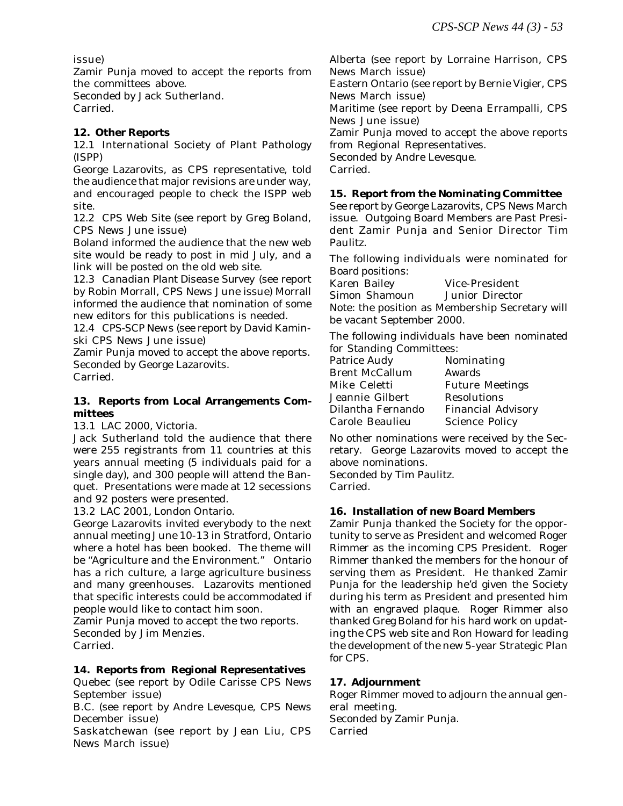issue)

Zamir Punja moved to accept the reports from the committees above.

Seconded by Jack Sutherland.

Carried.

#### **12. Other Reports**

12.1 International Society of Plant Pathology (ISPP)

George Lazarovits, as CPS representative, told the audience that major revisions are under way, and encouraged people to check the ISPP web site.

12.2 CPS Web Site (see report by Greg Boland, CPS News June issue)

Boland informed the audience that the new web site would be ready to post in mid July, and a link will be posted on the old web site.

12.3 *Canadian Plant Disease Survey* (see report by Robin Morrall, CPS News June issue) Morrall informed the audience that nomination of some new editors for this publications is needed.

12.4 *CPS-SCP News* (see report by David Kaminski CPS News June issue)

Zamir Punja moved to accept the above reports. Seconded by George Lazarovits.

Carried.

#### **13. Reports from Local Arrangements Committees**

13.1 LAC 2000, Victoria.

Jack Sutherland told the audience that there were 255 registrants from 11 countries at this years annual meeting (5 individuals paid for a single day), and 300 people will attend the Banquet. Presentations were made at 12 secessions and 92 posters were presented.

13.2 LAC 2001, London Ontario.

George Lazarovits invited everybody to the next annual meeting June 10-13 in Stratford, Ontario where a hotel has been booked. The theme will be "Agriculture and the Environment." Ontario has a rich culture, a large agriculture business and many greenhouses. Lazarovits mentioned that specific interests could be accommodated if people would like to contact him soon.

Zamir Punja moved to accept the two reports. Seconded by Jim Menzies.

Carried.

#### **14. Reports from Regional Representatives**

Quebec (see report by Odile Carisse CPS News September issue)

B.C. (see report by Andre Levesque, CPS News December issue)

Saskatchewan (see report by Jean Liu, CPS News March issue)

Alberta (see report by Lorraine Harrison, CPS News March issue) Eastern Ontario (see report by Bernie Vigier, CPS News March issue) Maritime (see report by Deena Errampalli, CPS News June issue) Zamir Punja moved to accept the above reports from Regional Representatives. Seconded by Andre Levesque.

Carried.

#### **15. Report from the Nominating Committee**

See report by George Lazarovits, CPS News March issue. Outgoing Board Members are Past President Zamir Punja and Senior Director Tim Paulitz.

The following individuals were nominated for Board positions:

Karen Bailey Vice-President Simon Shamoun Junior Director Note: the position as Membership Secretary will be vacant September 2000.

The following individuals have been nominated for Standing Committees:

| Patrice Audy          | Nominating                |
|-----------------------|---------------------------|
| <b>Brent McCallum</b> | Awards                    |
| Mike Celetti          | <b>Future Meetings</b>    |
| Jeannie Gilbert       | <b>Resolutions</b>        |
| Dilantha Fernando     | <b>Financial Advisory</b> |
| Carole Beaulieu       | <b>Science Policy</b>     |
|                       |                           |

No other nominations were received by the Secretary. George Lazarovits moved to accept the above nominations.

Seconded by Tim Paulitz. Carried.

### **16. Installation of new Board Members**

Zamir Punja thanked the Society for the opportunity to serve as President and welcomed Roger Rimmer as the incoming CPS President. Roger Rimmer thanked the members for the honour of serving them as President. He thanked Zamir Punja for the leadership he'd given the Society during his term as President and presented him with an engraved plaque. Roger Rimmer also thanked Greg Boland for his hard work on updating the CPS web site and Ron Howard for leading the development of the new 5-year Strategic Plan for CPS.

### **17. Adjournment**

Roger Rimmer moved to adjourn the annual general meeting. Seconded by Zamir Punja.

Carried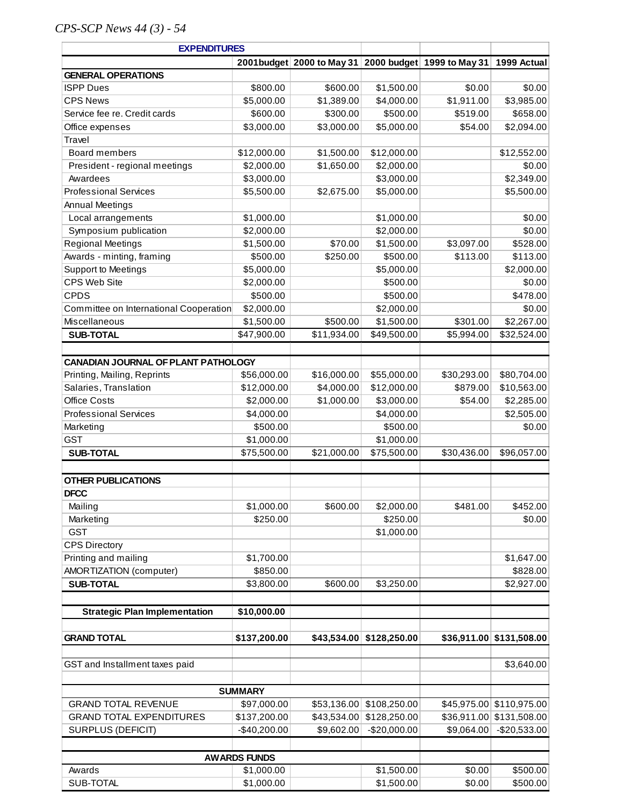# *CPS-SCP News 44 (3) - 54*

| <b>EXPENDITURES</b>                        |                     |                                                                  |               |             |                          |
|--------------------------------------------|---------------------|------------------------------------------------------------------|---------------|-------------|--------------------------|
|                                            |                     | 2001budget 2000 to May 31 2000 budget 1999 to May 31 1999 Actual |               |             |                          |
| <b>GENERAL OPERATIONS</b>                  |                     |                                                                  |               |             |                          |
| <b>ISPP Dues</b>                           | \$800.00            | \$600.00                                                         | \$1,500.00    | \$0.00      | \$0.00                   |
| <b>CPS News</b>                            | \$5,000.00          | \$1,389.00                                                       | \$4,000.00    | \$1,911.00  | \$3,985.00               |
| Service fee re. Credit cards               | \$600.00            | \$300.00                                                         | \$500.00      | \$519.00    | \$658.00                 |
| Office expenses                            | \$3,000.00          | \$3,000.00                                                       | \$5,000.00    | \$54.00     | \$2,094.00               |
| Travel                                     |                     |                                                                  |               |             |                          |
| <b>Board members</b>                       | \$12,000.00         | \$1,500.00                                                       | \$12,000.00   |             | \$12,552.00              |
| President - regional meetings              | \$2,000.00          | \$1,650.00                                                       | \$2,000.00    |             | \$0.00                   |
| Awardees                                   | \$3,000.00          |                                                                  | \$3,000.00    |             | \$2,349.00               |
| <b>Professional Services</b>               | \$5,500.00          | \$2,675.00                                                       | \$5,000.00    |             | \$5,500.00               |
| <b>Annual Meetings</b>                     |                     |                                                                  |               |             |                          |
| Local arrangements                         | \$1,000.00          |                                                                  | \$1,000.00    |             | \$0.00                   |
| Symposium publication                      | \$2,000.00          |                                                                  | \$2,000.00    |             | \$0.00                   |
| <b>Regional Meetings</b>                   | \$1,500.00          | \$70.00                                                          | \$1,500.00    | \$3,097.00  | \$528.00                 |
| Awards - minting, framing                  | \$500.00            | \$250.00                                                         | \$500.00      | \$113.00    | \$113.00                 |
| <b>Support to Meetings</b>                 | \$5,000.00          |                                                                  | \$5,000.00    |             | \$2,000.00               |
| CPS Web Site                               | \$2,000.00          |                                                                  | \$500.00      |             | \$0.00                   |
| <b>CPDS</b>                                | \$500.00            |                                                                  | \$500.00      |             | \$478.00                 |
| Committee on International Cooperation     | \$2,000.00          |                                                                  | \$2,000.00    |             | \$0.00                   |
| Miscellaneous                              | \$1,500.00          | \$500.00                                                         | \$1,500.00    | \$301.00    | \$2,267.00               |
| <b>SUB-TOTAL</b>                           | \$47,900.00         | \$11,934.00                                                      | \$49,500.00   | \$5,994.00  | \$32,524.00              |
|                                            |                     |                                                                  |               |             |                          |
| <b>CANADIAN JOURNAL OF PLANT PATHOLOGY</b> |                     |                                                                  |               |             |                          |
| Printing, Mailing, Reprints                | \$56,000.00         | \$16,000.00                                                      | \$55,000.00   | \$30,293.00 | \$80,704.00              |
| Salaries, Translation                      | \$12,000.00         | \$4,000.00                                                       | \$12,000.00   | \$879.00    | \$10,563.00              |
| <b>Office Costs</b>                        | \$2,000.00          | \$1,000.00                                                       | \$3,000.00    | \$54.00     | \$2,285.00               |
| <b>Professional Services</b>               | \$4,000.00          |                                                                  | \$4,000.00    |             | \$2,505.00               |
| Marketing                                  | \$500.00            |                                                                  | \$500.00      |             | \$0.00                   |
| <b>GST</b>                                 | \$1,000.00          |                                                                  | \$1,000.00    |             |                          |
| <b>SUB-TOTAL</b>                           | \$75,500.00         | \$21,000.00                                                      | \$75,500.00   | \$30,436.00 | \$96,057.00              |
|                                            |                     |                                                                  |               |             |                          |
| <b>OTHER PUBLICATIONS</b>                  |                     |                                                                  |               |             |                          |
| <b>DFCC</b>                                |                     |                                                                  |               |             |                          |
| Mailing                                    | \$1,000.00          | \$600.00                                                         | \$2,000.00    | \$481.00    | \$452.00                 |
| Marketing                                  | \$250.00            |                                                                  | \$250.00      |             | \$0.00                   |
| <b>GST</b>                                 |                     |                                                                  | \$1,000.00    |             |                          |
| <b>CPS Directory</b>                       |                     |                                                                  |               |             |                          |
| Printing and mailing                       | \$1,700.00          |                                                                  |               |             | \$1,647.00               |
| AMORTIZATION (computer)                    | \$850.00            |                                                                  |               |             | \$828.00                 |
| <b>SUB-TOTAL</b>                           | \$3,800.00          | \$600.00                                                         | \$3,250.00    |             | \$2,927.00               |
|                                            |                     |                                                                  |               |             |                          |
| <b>Strategic Plan Implementation</b>       | \$10,000.00         |                                                                  |               |             |                          |
|                                            |                     |                                                                  |               |             |                          |
| <b>GRAND TOTAL</b>                         | \$137,200.00        | \$43,534.00                                                      | \$128,250.00  |             | \$36,911.00 \$131,508.00 |
| GST and Installment taxes paid             |                     |                                                                  |               |             | \$3,640.00               |
|                                            |                     |                                                                  |               |             |                          |
|                                            | <b>SUMMARY</b>      |                                                                  |               |             |                          |
| <b>GRAND TOTAL REVENUE</b>                 | \$97,000.00         | \$53,136.00                                                      | \$108,250.00  |             | \$45,975.00 \$110,975.00 |
| <b>GRAND TOTAL EXPENDITURES</b>            | \$137,200.00        | \$43,534.00                                                      | \$128,250.00  | \$36,911.00 | \$131,508.00             |
| <b>SURPLUS (DEFICIT)</b>                   | $-$ \$40,200.00     | \$9,602.00                                                       | $-$20,000.00$ | \$9,064.00  | $-$20,533.00$            |
|                                            |                     |                                                                  |               |             |                          |
|                                            | <b>AWARDS FUNDS</b> |                                                                  |               |             |                          |
| Awards                                     | \$1,000.00          |                                                                  | \$1,500.00    | \$0.00      | \$500.00                 |
| SUB-TOTAL                                  | \$1,000.00          |                                                                  | \$1,500.00    | \$0.00      | \$500.00                 |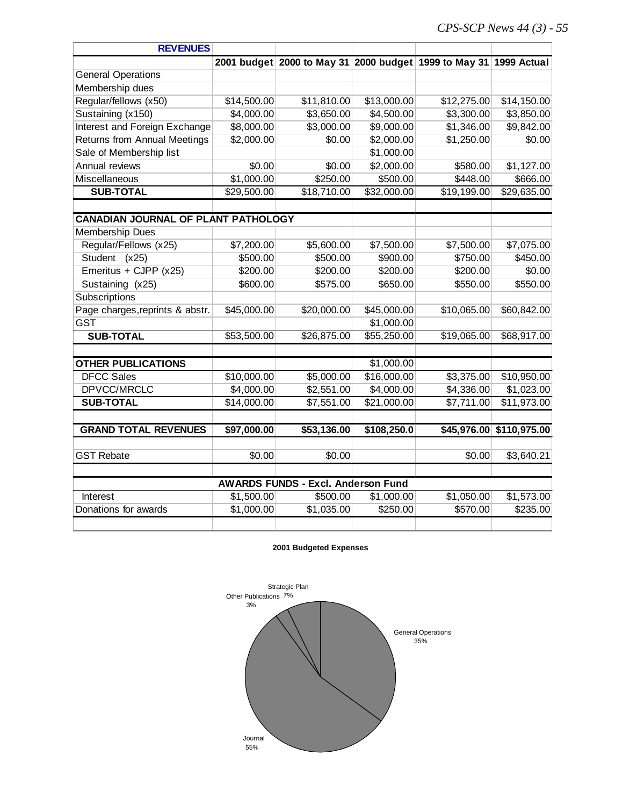| <b>REVENUES</b>                            |             |                                           |             |                                                                   |              |
|--------------------------------------------|-------------|-------------------------------------------|-------------|-------------------------------------------------------------------|--------------|
|                                            |             |                                           |             | 2001 budget 2000 to May 31 2000 budget 1999 to May 31 1999 Actual |              |
| <b>General Operations</b>                  |             |                                           |             |                                                                   |              |
| Membership dues                            |             |                                           |             |                                                                   |              |
| Regular/fellows (x50)                      | \$14,500.00 | \$11,810.00                               | \$13,000.00 | \$12,275.00                                                       | \$14,150.00  |
| Sustaining (x150)                          | \$4,000.00  | \$3,650.00                                | \$4,500.00  | \$3,300.00                                                        | \$3,850.00   |
| Interest and Foreign Exchange              | \$8,000.00  | \$3,000.00                                | \$9,000.00  | \$1,346.00                                                        | \$9,842.00   |
| Returns from Annual Meetings               | \$2,000.00  | \$0.00                                    | \$2,000.00  | \$1,250.00                                                        | \$0.00       |
| Sale of Membership list                    |             |                                           | \$1,000.00  |                                                                   |              |
| Annual reviews                             | \$0.00      | \$0.00                                    | \$2,000.00  | \$580.00                                                          | \$1,127.00   |
| Miscellaneous                              | \$1,000.00  | \$250.00                                  | \$500.00    | \$448.00                                                          | \$666.00     |
| <b>SUB-TOTAL</b>                           | \$29,500.00 | \$18,710.00                               | \$32,000.00 | \$19,199.00                                                       | \$29,635.00  |
|                                            |             |                                           |             |                                                                   |              |
| <b>CANADIAN JOURNAL OF PLANT PATHOLOGY</b> |             |                                           |             |                                                                   |              |
| <b>Membership Dues</b>                     |             |                                           |             |                                                                   |              |
| Regular/Fellows (x25)                      | \$7,200.00  | \$5,600.00                                | \$7,500.00  | \$7,500.00                                                        | \$7,075.00   |
| Student (x25)                              | \$500.00    | \$500.00                                  | \$900.00    | \$750.00                                                          | \$450.00     |
| Emeritus + CJPP (x25)                      | \$200.00    | \$200.00                                  | \$200.00    | \$200.00                                                          | \$0.00       |
| Sustaining (x25)                           | \$600.00    | \$575.00                                  | \$650.00    | \$550.00                                                          | \$550.00     |
| Subscriptions                              |             |                                           |             |                                                                   |              |
| Page charges, reprints & abstr.            | \$45,000.00 | \$20,000.00                               | \$45,000.00 | \$10,065.00                                                       | \$60,842.00  |
| <b>GST</b>                                 |             |                                           | \$1,000.00  |                                                                   |              |
| <b>SUB-TOTAL</b>                           | \$53,500.00 | \$26,875.00                               | \$55,250.00 | \$19,065.00                                                       | \$68,917.00  |
| <b>OTHER PUBLICATIONS</b>                  |             |                                           | \$1,000.00  |                                                                   |              |
| <b>DFCC Sales</b>                          | \$10,000.00 | \$5,000.00                                | \$16,000.00 | \$3,375.00                                                        | \$10,950.00  |
| DPVCC/MRCLC                                | \$4,000.00  | \$2,551.00                                | \$4,000.00  | \$4,336.00                                                        | \$1,023.00   |
| <b>SUB-TOTAL</b>                           | \$14,000.00 | \$7,551.00                                | \$21,000.00 | \$7,711.00                                                        | \$11,973.00  |
|                                            |             |                                           |             |                                                                   |              |
| <b>GRAND TOTAL REVENUES</b>                | \$97,000.00 | \$53,136.00                               | \$108,250.0 | \$45,976.00                                                       | \$110,975.00 |
|                                            |             |                                           |             |                                                                   |              |
| <b>GST Rebate</b>                          | \$0.00      | \$0.00                                    |             | \$0.00                                                            | \$3,640.21   |
|                                            |             | <b>AWARDS FUNDS - Excl. Anderson Fund</b> |             |                                                                   |              |
| Interest                                   | \$1,500.00  | \$500.00                                  | \$1,000.00  | \$1,050.00                                                        | \$1,573.00   |
| Donations for awards                       | \$1,000.00  | \$1,035.00                                | \$250.00    | \$570.00                                                          | \$235.00     |
|                                            |             |                                           |             |                                                                   |              |

#### **2001 Budgeted Expenses**

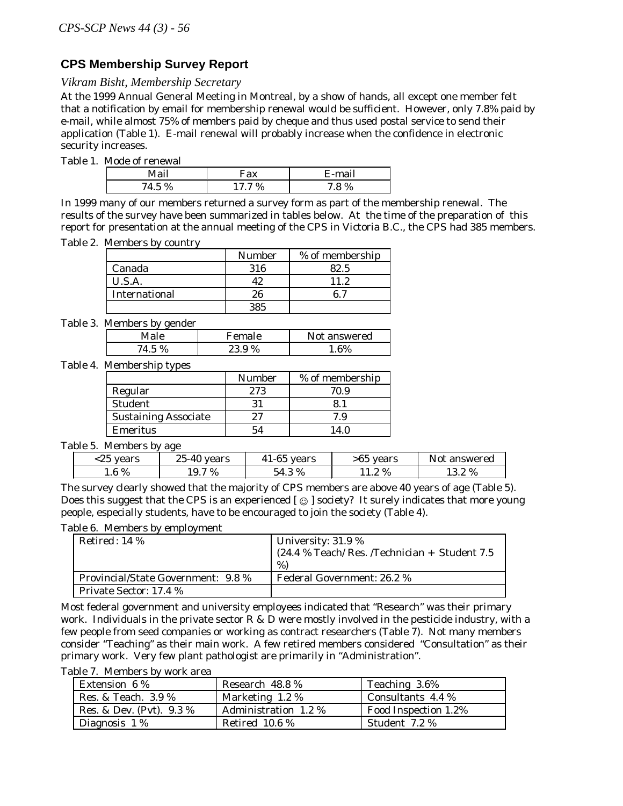## **CPS Membership Survey Report**

*Vikram Bisht, Membership Secretary* 

At the 1999 Annual General Meeting in Montreal, by a show of hands, all except one member felt that a notification by email for membership renewal would be sufficient. However, only 7.8% paid by e-mail, while almost 75% of members paid by cheque and thus used postal service to send their application (Table 1). E-mail renewal will probably increase when the confidence in electronic security increases.

Table 1. Mode of renewal

| $\cdot$ 1                | .                       |  |
|--------------------------|-------------------------|--|
| 0,<br>$\mathcal{L}$<br>u | $O_{\epsilon}$<br>1.7.7 |  |

In 1999 many of our members returned a survey form as part of the membership renewal. The results of the survey have been summarized in tables below. At the time of the preparation of this report for presentation at the annual meeting of the CPS in Victoria B.C., the CPS had 385 members.

Table 2. Members by country

|               | <b>Number</b> | % of membership |
|---------------|---------------|-----------------|
| Canada        | 316           | 82.5            |
| U.S.A.        |               | 112             |
| International | 26            | R 7             |
|               |               |                 |

Table 3. Members by gender

|                 | Female | answered    |
|-----------------|--------|-------------|
| $\%$<br>71<br>ь | 23.9%  | $R_{\rm 0}$ |

Table 4. Membership types

|                             | <b>Number</b> | % of membership |
|-----------------------------|---------------|-----------------|
| Regular                     | 273           | 70.9            |
| <b>Student</b>              |               |                 |
| <b>Sustaining Associate</b> | 27            | 7.9             |
| Emeritus                    | 54            | 4 O             |

Table 5. Members by age

| $\sim$ $\sim$<br>$\mathbf{v}$<br>. ພປ | vears | $\sim$ $\sim$<br>vears<br>. . | vears<br>۰v | answered<br>NU I |
|---------------------------------------|-------|-------------------------------|-------------|------------------|
| $6\%$<br>$1.0^{\circ}$                | 7%    | $\mathbf{O}/\mathbf{O}$       | 2 %<br>.    | 2 %<br>1 J.W     |

The survey clearly showed that the majority of CPS members are above 40 years of age (Table 5). Does this suggest that the CPS is an experienced  $\lceil \bigcirc \bigcirc \rceil$  society? It surely indicates that more young people, especially students, have to be encouraged to join the society (Table 4).

Table 6. Members by employment

| Retired: $14\%$                           | University: $31.9\%$<br>(24.4 % Teach/ Res. /Technician + Student 7.5)<br>%) |
|-------------------------------------------|------------------------------------------------------------------------------|
| <b>Provincial/State Government: 9.8 %</b> | <b>Federal Government: 26.2 %</b>                                            |
| Private Sector: 17.4 %                    |                                                                              |

Most federal government and university employees indicated that "Research" was their primary work. Individuals in the private sector  $R \& D$  were mostly involved in the pesticide industry, with a few people from seed companies or working as contract researchers (Table 7). Not many members consider "Teaching" as their main work. A few retired members considered "Consultation" as their primary work. Very few plant pathologist are primarily in "Administration".

Table 7. Members by work area

| <b>Extension 6%</b>      | Research 48.8 %      | Teaching 3.6%        |
|--------------------------|----------------------|----------------------|
| Res. & Teach. 3.9%       | Marketing 1.2 %      | Consultants 4.4 %    |
| Res. & Dev. (Pvt). 9.3 % | Administration 1.2 % | Food Inspection 1.2% |
| Diagnosis 1%             | Retired $10.6\%$     | Student 7.2 %        |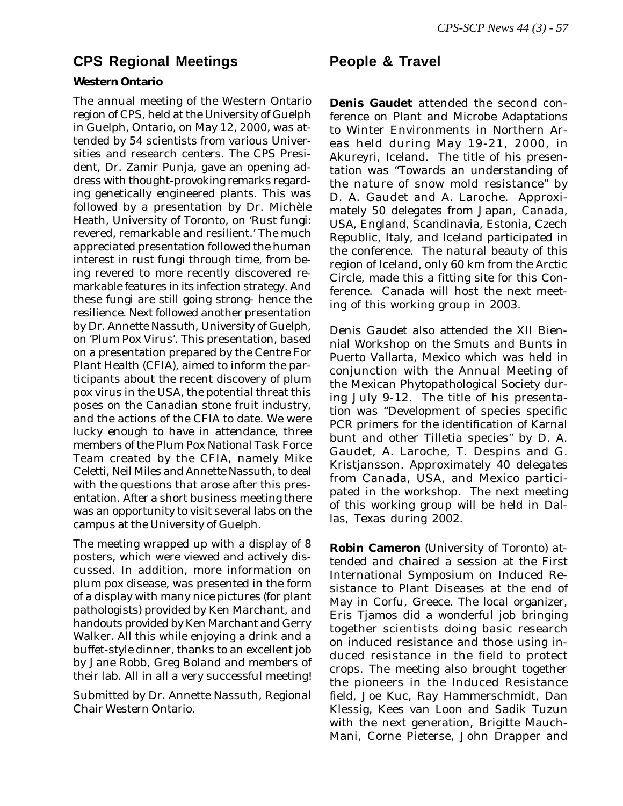# **CPS Regional Meetings Feople & Travel**

### **Western Ontario**

The annual meeting of the Western Ontario region of CPS, held at the University of Guelph in Guelph, Ontario, on May 12, 2000, was attended by 54 scientists from various Universities and research centers. The CPS President, Dr. Zamir Punja, gave an opening address with thought-provoking remarks regarding genetically engineered plants. This was followed by a presentation by Dr. Michèle Heath, University of Toronto, on 'Rust fungi: revered, remarkable and resilient.' The much appreciated presentation followed the human interest in rust fungi through time, from being revered to more recently discovered remarkable features in its infection strategy. And these fungi are still going strong- hence the resilience. Next followed another presentation by Dr. Annette Nassuth, University of Guelph, on 'Plum Pox Virus'. This presentation, based on a presentation prepared by the Centre For Plant Health (CFIA), aimed to inform the participants about the recent discovery of plum pox virus in the USA, the potential threat this poses on the Canadian stone fruit industry, and the actions of the CFIA to date. We were lucky enough to have in attendance, three members of the Plum Pox National Task Force Team created by the CFIA, namely Mike Celetti, Neil Miles and Annette Nassuth, to deal with the questions that arose after this presentation. After a short business meeting there was an opportunity to visit several labs on the campus at the University of Guelph.

The meeting wrapped up with a display of 8 posters, which were viewed and actively discussed. In addition, more information on plum pox disease, was presented in the form of a display with many nice pictures (for plant pathologists) provided by Ken Marchant, and handouts provided by Ken Marchant and Gerry Walker. All this while enjoying a drink and a buffet-style dinner, thanks to an excellent job by Jane Robb, Greg Boland and members of their lab. All in all a very successful meeting!

Submitted by Dr. Annette Nassuth, Regional Chair Western Ontario.

**Denis Gaudet** attended the second conference on Plant and Microbe Adaptations to Winter Environments in Northern Areas held during May 19-21, 2000, in Akureyri, Iceland. The title of his presentation was "Towards an understanding of the nature of snow mold resistance" by D. A. Gaudet and A. Laroche. Approximately 50 delegates from Japan, Canada, USA, England, Scandinavia, Estonia, Czech Republic, Italy, and Iceland participated in the conference. The natural beauty of this region of Iceland, only 60 km from the Arctic Circle, made this a fitting site for this Conference. Canada will host the next meeting of this working group in 2003.

Denis Gaudet also attended the XII Biennial Workshop on the Smuts and Bunts in Puerto Vallarta, Mexico which was held in conjunction with the Annual Meeting of the Mexican Phytopathological Society during July 9-12. The title of his presentation was "Development of species specific PCR primers for the identification of Karnal bunt and other Tilletia species" by D. A. Gaudet, A. Laroche, T. Despins and G. Kristjansson. Approximately 40 delegates from Canada, USA, and Mexico participated in the workshop. The next meeting of this working group will be held in Dallas, Texas during 2002.

**Robin Cameron** (University of Toronto) attended and chaired a session at the First International Symposium on Induced Resistance to Plant Diseases at the end of May in Corfu, Greece. The local organizer, Eris Tjamos did a wonderful job bringing together scientists doing basic research on induced resistance and those using induced resistance in the field to protect crops. The meeting also brought together the pioneers in the Induced Resistance field, Joe Kuc, Ray Hammerschmidt, Dan Klessig, Kees van Loon and Sadik Tuzun with the next generation, Brigitte Mauch-Mani, Corne Pieterse, John Drapper and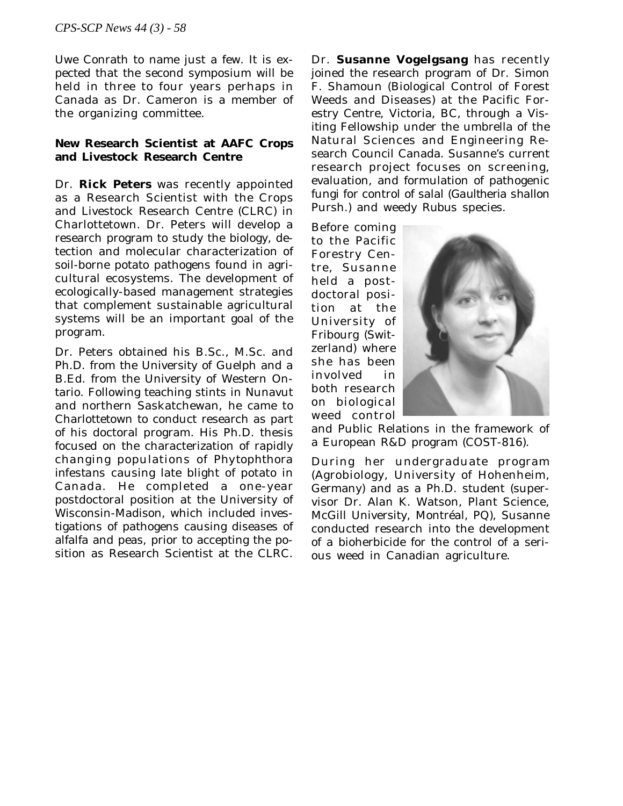Uwe Conrath to name just a few. It is expected that the second symposium will be held in three to four years perhaps in Canada as Dr. Cameron is a member of the organizing committee.

## **New Research Scientist at AAFC Crops and Livestock Research Centre**

 External Advert Dr. **Rick Peters** was recently appointed as a Research Scientist with the Crops and Livestock Research Centre (CLRC) in Charlottetown. Dr. Peters will develop a research program to study the biology, detection and molecular characterization of soil-borne potato pathogens found in agricultural ecosystems. The development of ecologically-based management strategies that complement sustainable agricultural systems will be an important goal of the program.

Dr. Peters obtained his B.Sc., M.Sc. and Ph.D. from the University of Guelph and a B.Ed. from the University of Western Ontario. Following teaching stints in Nunavut and northern Saskatchewan, he came to Charlottetown to conduct research as part of his doctoral program. His Ph.D. thesis focused on the characterization of rapidly changing populations of *Phytophthora infestans* causing late blight of potato in Canada. He completed a one-year postdoctoral position at the University of Wisconsin-Madison, which included investigations of pathogens causing diseases of alfalfa and peas, prior to accepting the position as Research Scientist at the CLRC.

Dr. **Susanne Vogelgsang** has recently joined the research program of Dr. Simon F. Shamoun (Biological Control of Forest Weeds and Diseases) at the Pacific Forestry Centre, Victoria, BC, through a Visiting Fellowship under the umbrella of the Natural Sciences and Engineering Research Council Canada. Susanne's current research project focuses on screening, evaluation, and formulation of pathogenic fungi for control of salal (*Gaultheria shallon* Pursh.) and weedy *Rubus* species.

Before coming to the Pacific Forestry Centre, Susanne held a postdoctoral position at the University of Fribourg (Switzerland) where she has been involved in both research on biological weed control



and Public Relations in the framework of a European R&D program (COST-816).

During her undergraduate program (Agrobiology, University of Hohenheim, Germany) and as a Ph.D. student (supervisor Dr. Alan K. Watson, Plant Science, McGill University, Montréal, PQ), Susanne conducted research into the development of a bioherbicide for the control of a serious weed in Canadian agriculture.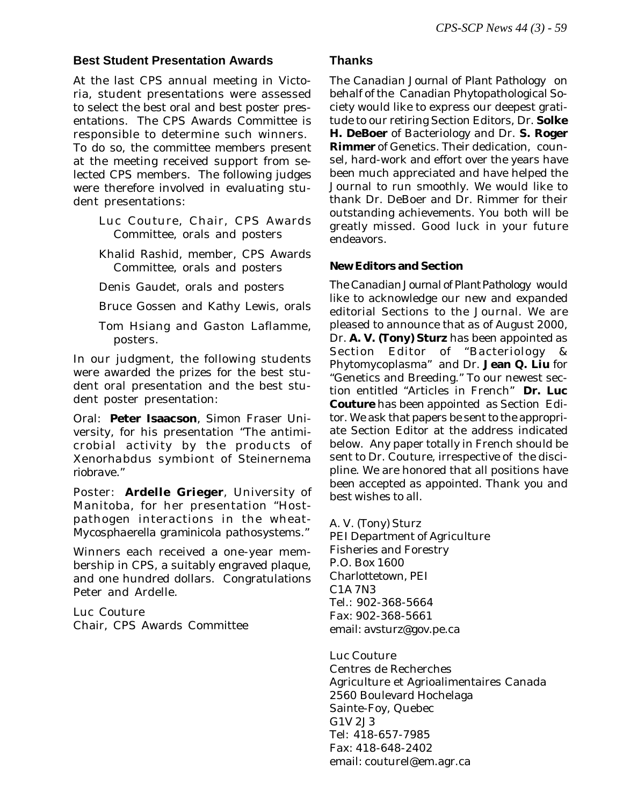### **Best Student Presentation Awards**

At the last CPS annual meeting in Victoria, student presentations were assessed to select the best oral and best poster presentations. The CPS Awards Committee is responsible to determine such winners. To do so, the committee members present at the meeting received support from selected CPS members. The following judges were therefore involved in evaluating student presentations:

- Luc Couture, Chair, CPS Awards Committee, orals and posters
- Khalid Rashid, member, CPS Awards Committee, orals and posters
- Denis Gaudet, orals and posters
- Bruce Gossen and Kathy Lewis, orals
- Tom Hsiang and Gaston Laflamme, posters.

In our judgment, the following students were awarded the prizes for the best student oral presentation and the best student poster presentation:

Oral: **Peter Isaacson**, Simon Fraser University, for his presentation "The antimicrobial activity by the products of *Xenorhabdus* symbiont of *Steinernema riobrave*."

Poster: **Ardelle Grieger**, University of Manitoba, for her presentation "Hostpathogen interactions in the wheat-*Mycosphaerella graminicola* pathosystems."

Winners each received a one-year membership in CPS, a suitably engraved plaque, and one hundred dollars. Congratulations Peter and Ardelle.

Luc Couture Chair, CPS Awards Committee

## **Thanks**

The *Canadian Journal of Plant Pathology* on behalf of the Canadian Phytopathological Society would like to express our deepest gratitude to our retiring Section Editors, Dr. **Solke H. DeBoer** of Bacteriology and Dr. **S. Roger Rimmer** of Genetics. Their dedication, counsel, hard-work and effort over the years have been much appreciated and have helped the Journal to run smoothly. We would like to thank Dr. DeBoer and Dr. Rimmer for their outstanding achievements. You both will be greatly missed. Good luck in your future endeavors.

## **New Editors and Section**

The *Canadian Journal of Plant Pathology* would like to acknowledge our new and expanded editorial Sections to the Journal. We are pleased to announce that as of August 2000, Dr. **A. V. (Tony) Sturz** has been appointed as Section Editor of "Bacteriology & Phytomycoplasma" and Dr. **Jean Q. Liu** for "Genetics and Breeding." To our newest section entitled "Articles in French" **Dr. Luc Couture** has been appointed as Section Editor. We ask that papers be sent to the appropriate Section Editor at the address indicated below. Any paper totally in French should be sent to Dr. Couture, irrespective of the discipline. We are honored that all positions have been accepted as appointed. Thank you and best wishes to all.

A. V. (Tony) Sturz PEI Department of Agriculture Fisheries and Forestry P.O. Box 1600 Charlottetown, PEI C1A 7N3 Tel.: 902-368-5664 Fax: 902-368-5661 email: avsturz@gov.pe.ca

Luc Couture Centres de Recherches Agriculture et Agrioalimentaires Canada 2560 Boulevard Hochelaga Sainte-Foy, Quebec G1V 2J3 Tel: 418-657-7985 Fax: 418-648-2402 email: couturel@em.agr.ca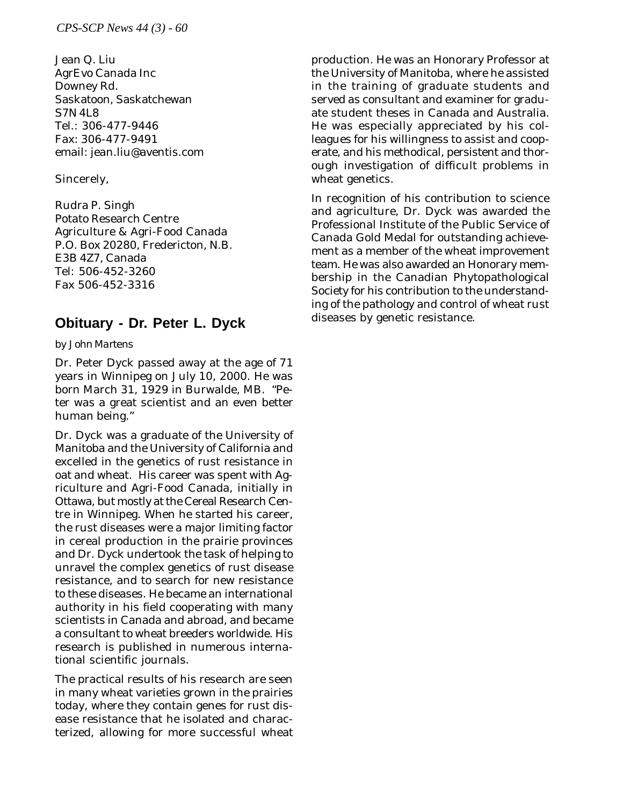Jean Q. Liu AgrEvo Canada Inc Downey Rd. Saskatoon, Saskatchewan S7N 4L8 Tel.: 306-477-9446 Fax: 306-477-9491 email: jean.liu@aventis.com

## Sincerely,

Rudra P. Singh Potato Research Centre Agriculture & Agri-Food Canada P.O. Box 20280, Fredericton, N.B. E3B 4Z7, Canada Tel: 506-452-3260 Fax 506-452-3316

# **Obituary - Dr. Peter L. Dyck**

### *by John Martens*

Dr. Peter Dyck passed away at the age of 71 years in Winnipeg on July 10, 2000. He was born March 31, 1929 in Burwalde, MB. "Peter was a great scientist and an even better human being."

Dr. Dyck was a graduate of the University of Manitoba and the University of California and excelled in the genetics of rust resistance in oat and wheat. His career was spent with Agriculture and Agri-Food Canada, initially in Ottawa, but mostly at the Cereal Research Centre in Winnipeg. When he started his career, the rust diseases were a major limiting factor in cereal production in the prairie provinces and Dr. Dyck undertook the task of helping to unravel the complex genetics of rust disease resistance, and to search for new resistance to these diseases. He became an international authority in his field cooperating with many scientists in Canada and abroad, and became a consultant to wheat breeders worldwide. His research is published in numerous international scientific journals.

The practical results of his research are seen in many wheat varieties grown in the prairies today, where they contain genes for rust disease resistance that he isolated and characterized, allowing for more successful wheat production. He was an Honorary Professor at the University of Manitoba, where he assisted in the training of graduate students and served as consultant and examiner for graduate student theses in Canada and Australia. He was especially appreciated by his colleagues for his willingness to assist and cooperate, and his methodical, persistent and thorough investigation of difficult problems in wheat genetics.

In recognition of his contribution to science and agriculture, Dr. Dyck was awarded the Professional Institute of the Public Service of Canada Gold Medal for outstanding achievement as a member of the wheat improvement team. He was also awarded an Honorary membership in the Canadian Phytopathological Society for his contribution to the understanding of the pathology and control of wheat rust diseases by genetic resistance.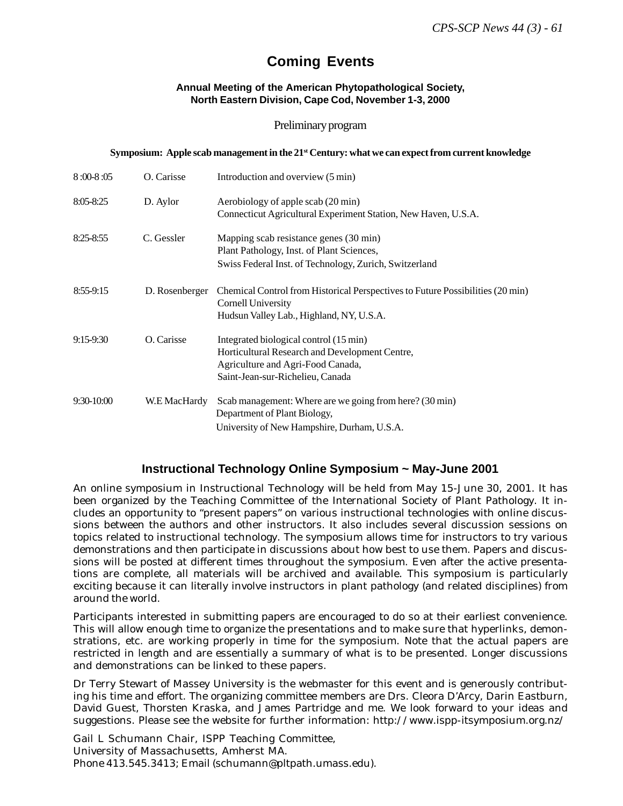# **Coming Events**

#### **Annual Meeting of the American Phytopathological Society, North Eastern Division, Cape Cod, November 1-3, 2000**

#### Preliminary program

#### **Symposium: Apple scab management in the 21<sup>st</sup> Century: what we can expect from current knowledge**

| $8:00-8:05$   | O. Carisse     | Introduction and overview (5 min)                                                                                                                                 |
|---------------|----------------|-------------------------------------------------------------------------------------------------------------------------------------------------------------------|
| $8:05 - 8:25$ | D. Aylor       | Aerobiology of apple scab (20 min)<br>Connecticut Agricultural Experiment Station, New Haven, U.S.A.                                                              |
| $8:25 - 8:55$ | C. Gessler     | Mapping scab resistance genes (30 min)<br>Plant Pathology, Inst. of Plant Sciences,<br>Swiss Federal Inst. of Technology, Zurich, Switzerland                     |
| $8:55-9:15$   | D. Rosenberger | Chemical Control from Historical Perspectives to Future Possibilities (20 min)<br>Cornell University<br>Hudsun Valley Lab., Highland, NY, U.S.A.                  |
| $9:15 - 9:30$ | O. Carisse     | Integrated biological control (15 min)<br>Horticultural Research and Development Centre,<br>Agriculture and Agri-Food Canada,<br>Saint-Jean-sur-Richelieu, Canada |
| $9:30-10:00$  | W.E MacHardy   | Scab management: Where are we going from here? (30 min)<br>Department of Plant Biology,<br>University of New Hampshire, Durham, U.S.A.                            |

## **Instructional Technology Online Symposium ~ May-June 2001**

An online symposium in Instructional Technology will be held from May 15-June 30, 2001. It has been organized by the Teaching Committee of the International Society of Plant Pathology. It includes an opportunity to "present papers" on various instructional technologies with online discussions between the authors and other instructors. It also includes several discussion sessions on topics related to instructional technology. The symposium allows time for instructors to try various demonstrations and then participate in discussions about how best to use them. Papers and discussions will be posted at different times throughout the symposium. Even after the active presentations are complete, all materials will be archived and available. This symposium is particularly exciting because it can literally involve instructors in plant pathology (and related disciplines) from around the world.

Participants interested in submitting papers are encouraged to do so at their earliest convenience. This will allow enough time to organize the presentations and to make sure that hyperlinks, demonstrations, etc. are working properly in time for the symposium. Note that the actual papers are restricted in length and are essentially a summary of what is to be presented. Longer discussions and demonstrations can be linked to these papers.

Dr Terry Stewart of Massey University is the webmaster for this event and is generously contributing his time and effort. The organizing committee members are Drs. Cleora D'Arcy, Darin Eastburn, David Guest, Thorsten Kraska, and James Partridge and me. We look forward to your ideas and suggestions. Please see the website for further information: http://www.ispp-itsymposium.org.nz/

Gail L Schumann Chair, ISPP Teaching Committee, University of Massachusetts, Amherst MA. Phone 413.545.3413; Email (schumann@pltpath.umass.edu).